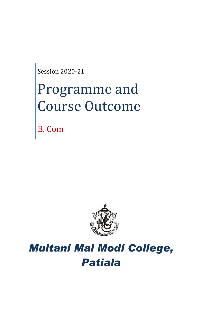Session 2020-21

# Programme and Course Outcome

B. Com



# *Multani Mal Modi College, Patiala*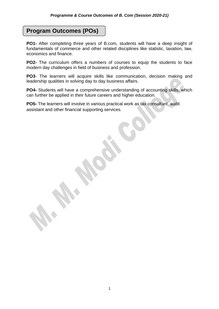# **Program Outcomes (POs)**

**PO1-** After completing three years of B.com, students will have a deep insight of fundamentals of commerce and other related disciplines like statistic, taxation, law, economics and finance.

**PO2-** The curriculum offers a numbers of courses to equip the students to face modern day challenges in field of business and profession.

**PO3**- The learners will acquire skills like communication, decision making and leadership qualities in solving day to day business affairs.

**PO4-** Students will have a comprehensive understanding of accounting skills, which can further be applied in their future careers and higher education.

**PO5-** The learners will involve in various practical work as tax consultant, audit assistant and other financial supporting services.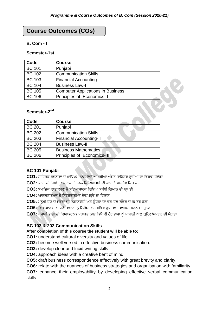# **Course Outcomes (COs)**

#### **B. Com - I**

#### **Semester-1st**

| Code          | <b>Course</b>                            |  |
|---------------|------------------------------------------|--|
| <b>BC 101</b> | Punjabi                                  |  |
| <b>BC 102</b> | <b>Communication Skills</b>              |  |
| <b>BC 103</b> | <b>Financial Accounting-I</b>            |  |
| <b>BC 104</b> | <b>Business Law-I</b>                    |  |
| <b>BC 105</b> | <b>Computer Applications in Business</b> |  |
| <b>BC 106</b> | Principles of Economics-1                |  |

#### Semester-2<sup>nd</sup>

| Code          | <b>Course</b>                  |
|---------------|--------------------------------|
| <b>BC 201</b> | Punjabi                        |
| <b>BC 202</b> | <b>Communication Skills</b>    |
| <b>BC 203</b> | <b>Financial Accounting-II</b> |
| <b>BC 204</b> | <b>Business Law-II</b>         |
| <b>BC 205</b> | <b>Business Mathematics</b>    |
| <b>BC 206</b> | Principles of Economics-II     |

#### **BC 101 Punjabi**

CO1: ਸਾਹਿਤਕ ਰਚਨਾਵਾਂ ਦੇ ਮਾਧਿਅਮ ਨਾਲ ਵਿਦਿਆਰਥੀਆਂ ਅੰਦਰ ਸਾਹਿਤਕ ਰਚੀਆਂ ਦਾ ਵਿਕਾਸ ਹੋਵੇਗਾ

**CO2:** ਭਾਸ਼ਾ ਦੀ ਹਸਿਾਾਂਤਕ ਜਾਣਕਾਰੀ ਨਾਲ ਹਵਹਦਆਰਥੀ ਦੀ ਭਾਸ਼ਾਈ ਸਮਰੱਥਾ ਹਵਚ ਵਾਿਾ

CO3: ਸਮਾਜਿਕ ਵਾਤਾਵਰਣ ਤੇ ਸਭਿਆਚਾਰਕ ਵਿਸ਼ਿਆਂ ਸਬੰਧੀ ਗਿਆਨ ਦੀ ਪ੍ਰਾਪਤੀ

CO4: ਆਲੋਚਨਾਤਮਕ ਤੇ ਸਿਰਜਣਾਤਮਕ ਸੋਚ/ਪਹੁੰਚ ਦਾ ਵਿਕਾਸ

**CO5:** ਮਨੁੱਖੀ ਿੋਂਦ ਦੇਸੰਕਟਾਾਂ ਦੀ ਹਨਸ਼ਾਨਦੇਿੀ ਅਤੇਉਿਨਾਾਂ ਦਾ ਯੋਗ ਿੱਲ ਲੱਭਣ ਦੇਸਮਰੱਥ ਿੋਣਾ

CO6: ਵਿਦਿਆਰਥੀ ਆਪਣੇ ਵਿਚਾਰਾਂ ਨੂੰ ਲਿਖਿਤ ਅਤੇ ਮੌਖਿਕ ਰੂਪ ਵਿਚ ਵਿਅਕਤ ਕਰਨ ਦਾ ਹੁਨਰ

CO7: ਪੰਜਾਬੀ ਭਾਸ਼ਾ ਦੀ ਵਿਆਕਰਨਕ ਮੁਹਾਰਤ ਨਾਲ ਕਿਸੇ ਵੀ ਹੋਰ ਭਾਸ਼ਾ ਨੂੰ ਆਸਾਨੀ ਨਾਲ ਗ੍ਰਹਿਣ/ਸਮਝਣ ਦੀ ਯੋਗਤਾ

#### **BC 102 & 202 Communication Skills**

**After completion of this course the student will be able to:**

**CO1:** understand cultural diversity and values of life.

**CO2:** become well versed in effective business communication.

**CO3:** develop clear and lucid writing skills

**CO4:** approach ideas with a creative bent of mind.

**CO5:** draft business correspondence effectively with great brevity and clarity.

**CO6:** relate with the nuances of business strategies and organisation with familiarity.

**CO7:** enhance their employability by developing effective verbal communication skills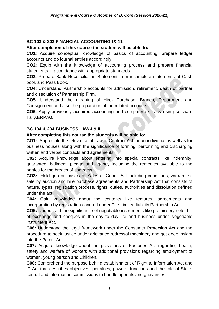#### **BC 103 & 203 FINANCIAL ACCOUNTING-I& 11**

#### **After completion of this course the student will be able to:**

**CO1**: Acquire conceptual knowledge of basics of accounting, prepare ledger accounts and do journal entries accordingly.

**CO2**: Equip with the knowledge of accounting process and prepare financial statements in accordance with appropriate standards.

**CO3**: Prepare Bank Reconciliation Statement from incomplete statements of Cash book and Pass Book.

**CO4**: Understand Partnership accounts for admission, retirement, death of partner and dissolution of Partnership Firm.

**CO5**: Understand the meaning of Hire- Purchase, Branch, Department and Consignment and also the preparation of the related accounts.

**CO6**: Apply previously acquired accounting and computer skills by using software Tally.ERP.9.0

#### **BC 104 & 204 BUSINESS LAW-I & II**

#### **After completing this course the students will be able to:**

**CO1:** Appreciate the relevance of Law of Contract Act for an individual as well as for business houses along with the significance of forming, performing and discharging written and verbal contracts and agreements.

**C02:** Acquire knowledge about entering into special contracts like indemnity, guarantee, bailment, pledge and agency including the remedies available to the parties for the breach of contracts.

**CO3:** Hold grip on basics of Sales of Goods Act including conditions, warranties, sale by auction and hire purchase agreements and Partnership Act that consists of nature, types, registration process, rights, duties, authorities and dissolution defined under the act.

**C04:** Gain knowledge about the contents like features, agreements and incorporation by registration covered under The Limited liability Partnership Act.

**CO5:** Understand the significance of negotiable instruments like promissory note, bill of exchange and cheques in the day to day life and business under Negotiable Instrument Act.

**C06:** Understand the legal framework under the Consumer Protection Act and the procedure to seek justice under grievance redressal machinery and get deep insight into the Patent Act

**C07:** Acquire knowledge about the provisions of Factories Act regarding health, safety and welfare of workers with additional provisions regarding employment of women, young person and Children.

**C08:** Comprehend the purpose behind establishment of Right to Information Act and IT Act that describes objectives, penalties, powers, functions and the role of State, central and information commissions to handle appeals and grievances.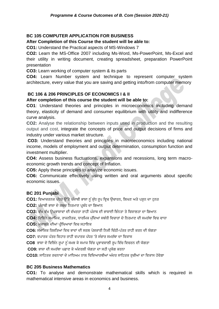#### **BC 105 COMPUTER APPLICATION FOR BUSINESS**

#### **After Completion of this Course the student will be able to:**

**CO1:** Understand the Practical aspects of MS-Windows 7

**CO2:** Learn the MS-Office 2007 including Ms-Word, Ms-PowerPoint, Ms-Excel and their utility in writing document, creating spreadsheet, preparation PowerPoint presentation

**CO3:** Learn working of computer system & its parts

**CO4:** Learn Number system and technique to represent computer system architecture, every value that you are saving and getting into/from computer memory

#### **BC 106 & 206 PRINCIPLES OF ECONOMICS I & II**

#### **After completion of this course the student will be able to:**

**CO1**: Understand theories and principles in microeconomics including demand theory, elasticity of demand and consumer equilibrium with utility and indifference curve analysis.

**CO2:** Analyse the relationship between inputs used in production and the resulting output and cost, integrate the concepts of price and output decisions of firms and industry under various market structure.

**CO3:** Understand theories and principles in macroeconomics including national income, models of employment and output determination, consumption function and investment multiplier.

**CO4:** Assess business fluctuations, expansions and recessions, long term macroeconomic growth trends and concept of Inflation.

**CO5:** Apply these principles to analyze economic issues.

**CO6:** Communicate effectively using written and oral arguments about specific economic issues.

#### **BC 201 Punjabi**

CO1: ਵਿਆਕਰਨਕ ਪੱਧਰ ਉੱਤੇ ਪੰਜਾਬੀ ਭਾਸ਼ਾ ਨੂੰ ਸ਼ੁੱਧ ਰੂਪ ਵਿਚ ਉਚਾਰਨ, ਲਿਖਣ ਅਤੇ ਪੜ੍ਹਨ ਦਾ ਹਨਰ

CO2: ਪੰਜਾਬੀ ਭਾਸ਼ਾ ਦੇ ਸ਼ਬਦ ਨਿਰਮਾਣ ਪ੍ਰਬੰਧ ਦਾ ਗਿਆਨ

**CO3:** ਵੱਖ ਵੱਖ ਉਪਭਾਸ਼ਾਵਾਂ ਦੀ ਵੱਖਰਤਾ ਰਾਹੀਂ ਪੰਜਾਬ ਦੀ ਭਾਸ਼ਾਈ ਭਿੰਨਤਾ ਤੇ ਵਿਸ਼ਾਲਤਾ ਦਾ ਗਿਆਨ

CO4: ਵਿਭਿੰਨ ਸਮਾਜਿਕ, ਰਾਜਨੀਤਕ, ਧਾਰਮਿਕ ਮੱਦਿਆਂ ਸਬੰਧੀ ਵਿਚਾਰਾਂ ਦੇ ਨਿਰਮਾਣ ਦੀ ਸਮਰੱਥਾ ਵਿਚ ਵਾਧਾ

**CO5:** ਮੁਕਾਬਲੇਦੀਆਾਂ ਪ੍ਰੀਹਖਆਵਾਾਂ ਹਵਚ ਸਿਾਇਕ

**CO6:** ਸਮਾਹਜਕ ਹਰਸ਼ਹਤਆਾਂ ਹਵਚ ਭਾਵਾਾਂ ਦੀ ਸਰਲ ਪ੍ੇਸ਼ਕਾਰੀ ਹਨਜੀ ਹਚੱਠੀ-ਪ੍ੱਤਰ ਰਾਿੀਂ ਕਰਨ ਦੀ ਯੋਗਤਾ

**CO7:** ਵਪ੍ਾਰਕ ਪ੍ੱਤਰ ਹਵਿਾਰ ਰਾਿੀਂ ਵਪ੍ਾਰਕ ਪ੍ੱਿਰ 'ਤੇਸੰਚਾਰ ਸਮਰੱਥਾ ਦਾ ਹਵਕਾਸ

CO8 ਭਾਸ਼ਾ ਦੇ ਵਿਭਿੰਨ ਰਪਾਂ ਨੂੰ ਸਮਝ ਕੇ ਸਮਾਜ ਵਿੱਚ ਪ੍ਰਭਾਵਸ਼ਾਲੀ ਰਪ ਵਿੱਚ ਵਿਚਰਨ ਦੀ ਯੋਗਤਾ

**CO9:** ਭਾਸ਼ਾ ਦੀ ਸਮਰੱਥਾ ਪ੍ਛਾਣ ਕੇਅੰਦਰਲੀ ਯੋਗਤਾ ਦਾ ਸਿੀ ਪ੍ਰਯੋਗ ਕਰਨਾ

CO10: ਸਾਹਿਤਕ ਰਚਨਾਵਾਂ ਦੇ ਮਾਧਿਅਮ ਨਾਲ ਵਿਦਿਆਰਥੀਆਂ ਅੰਦਰ ਸਾਹਿਤਕ ਰਚੀਆਂ ਦਾ ਵਿਕਾਸ ਹੋਵੇਗਾ

#### **BC 205 Business Mathematics**

**CO1:** To analyse and demonstrate mathematical skills which is required in mathematical intensive areas in economics and business.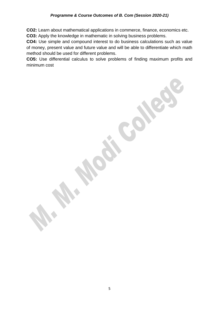#### *Programme & Course Outcomes of B. Com (Session 2020-21)*

**CO2:** Learn about mathematical applications in commerce, finance, economics etc.

**CO3:** Apply the knowledge in mathematic in solving business problems.

**CO4:** Use simple and compound interest to do business calculations such as value of money, present value and future value and will be able to differentiate which math method should be used for different problems.

**CO5:** Use differential calculus to solve problems of finding maximum profits and minimum cost

5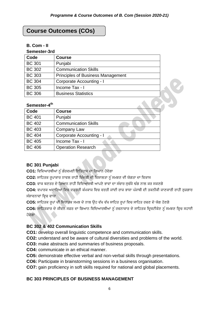# **Course Outcomes (COs)**

#### **B. Com - II**

#### **Semester-3rd**

| Code          | <b>Course</b>                            |  |
|---------------|------------------------------------------|--|
| <b>BC 301</b> | Punjabi                                  |  |
| <b>BC 302</b> | <b>Communication Skills</b>              |  |
| <b>BC 303</b> | <b>Principles of Business Management</b> |  |
| <b>BC 304</b> | Corporate Accounting - I                 |  |
| <b>BC 305</b> | Income Tax - I                           |  |
| <b>BC 306</b> | <b>Business Statistics</b>               |  |

#### **Semester-4 th**

| Code          | <b>Course</b>               |
|---------------|-----------------------------|
| <b>BC 401</b> | Punjabi                     |
| <b>BC 402</b> | <b>Communication Skills</b> |
| <b>BC 403</b> | Company Law                 |
| <b>BC 404</b> | Corporate Accounting - I    |
| <b>BC 405</b> | Income Tax - I              |
| <b>BC 406</b> | <b>Operation Research</b>   |
|               |                             |

#### **BC 301 Punjabi**

**CO1:** ਹਵਹਦਆਰਥੀਆਾਂ ਨ ੰਗੌਰਵਮਈ ਇਹਤਿਾਸ ਦਾ ਹਗਆਨ ਿੋਵੇਗਾ

CO2: ਸਾਹਿਤਕ ਰਪਾਕਾਰ ਨਾਵਲ ਰਾਹੀਂ ਜ਼ਿੰਦਗੀ ਦੀ ਵਿਸ਼ਾਲਤਾ ਨੂੰ ਸਮਝਣ ਦੀ ਯੋਗਤਾ ਦਾ ਵਿਕਾਸ

CO3: ਵਾਕ ਬਣਤਰ ਦੇ ਗਿਆਨ ਰਾਹੀਂ ਵਿਦਿਆਰਥੀ ਆਪਣੇ ਭਾਵਾਂ ਦਾ ਸੰਚਾਰ ਸੁਚੱਜੇ ਢੰਗ ਨਾਲ ਕਰ ਸਕਣਗੇ

CO4: ਵਪਾਰਕ ਅਦਾਰਿਆਂ ਵਿਚ ਦਫ਼ਤਰੀ ਕੰਮਕਾਜ ਵਿਚ ਵਰਤੀ ਜਾਂਦੀ ਰਾਜ ਭਾਸ਼ਾ ਪੰਜਾਬੀ ਦੀ ਤਕਨੀਕੀ ਜਾਣਕਾਰੀ ਰਾਹੀਂ ਰੁਜ਼ਗਾਰ ਸੰਭਾਵਨਾਵਾਂ ਵਿਚ ਵਾਧਾ

CO5: ਸਾਹਿਤਕ ਰਪਾਂ ਦੀ ਸਿਧਾਂਤਕ ਸਮਝ ਦੇ ਨਾਲ ਉਹ ਵੱਖ ਵੱਖ ਸਾਹਿਤ ਰਪਾਂ ਵਿਚ ਸਾਹਿਤ ਰਚਣ ਦੇ ਯੋਗ ਹੋਣਗੇ

CO6: ਸਾਹਿਤਕਾਰ ਦੇ ਜੀਵਨ ਸਫ਼ਰ ਦਾ ਗਿਆਨ ਵਿਦਿਆਰਥੀਆਂ ਨੂੰ ਰਚਨਾਕਾਰ ਦੇ ਸਾਹਿਤਕ ਦ੍ਰਿਸ਼ਟੀਕੋਣ ਨੂੰ ਸਮਝਣ ਵਿਚ ਸਹਾਈ ਹੋਵੇਗਾ

#### **BC 302 & 402 Communication Skills**

**CO1:** develop overall linguistic competence and communication skills.

**CO2:** understand and be aware of cultural diversities and problems of the world.

**CO3:** make abstracts and summaries of business proposals.

**CO4:** communicate in an ethical manner.

**CO5:** demonstrate effective verbal and non-verbal skills through presentations.

**CO6:** Participate in brainstorming sessions in a business organisation.

**CO7:** gain proficiency in soft skills required for national and global placements.

#### **BC 303 PRINCIPLES OF BUSINESS MANAGEMENT**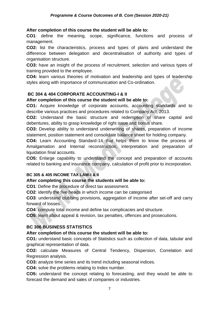#### **After completion of this course the student will be able to:**

**CO1**: define the meaning, scope, significance, functions and process of management.

**CO2:** list the characteristics, process and types of plans and understand the difference between delegation and decentralisation of authority and types of organisation structure.

**CO3:** have an insight of the process of recruitment, selection and various types of training provided to the employee.

**CO4:** learn various theories of motivation and leadership and types of leadership styles along with importance of communication and Co-ordination.

#### **BC 304 & 404 CORPORATE ACCOUNTING-I & II**

#### **After completion of this course the student will be able to:**

**CO1:** Acquire knowledge of corporate accounts, accounting standards and to describe various practices and procedures related to Company Act, 2013.

**CO2:** Understand the basic structure and redemption of share capital and debentures, ability to grasp knowledge of right issue and bonus share.

**CO3:** Develop ability to understand underwriting of shares, preparation of income statement, position statement and consolidate balance sheet for holding company.

**CO4:** Learn Accounting Standard-14 that helps them to know the process of Amalgamation and Internal reconstruction, interpretation and preparation of liquidation final accounts.

**CO5:** Enlarge capability to understand the concept and preparation of accounts related to banking and insurance company, calculation of profit prior to incorporation.

#### **BC 305 & 405 INCOME TAX LAW-I & II**

#### **After completing this course the students will be able to:**

**CO1**: Define the procedure of direct tax assessment.

**CO2**: identify the five heads in which income can be categorised

**CO3**: understand clubbing provisions, aggregation of income after set-off and carry forward of losses.

**CO4**: compute total income and define tax complicacies and structure.

**CO5**: learn about appeal & revision, tax penalties, offences and prosecutions.

#### **BC 306 BUSINESS STATISTICS**

#### **After completion of this course the student will be able to:**

**CO1:** understand basic concepts of Statistics such as collection of data, tabular and graphical representation of data.

**CO2:** calculate Measures of Central Tendency, Dispersion, Correlation and Regression analysis.

**CO3:** analyze time series and its trend including seasonal indices.

**CO4:** solve the problems relating to Index number.

**CO5:** understand the concept relating to forecasting, and they would be able to forecast the demand and sales of companies or industries.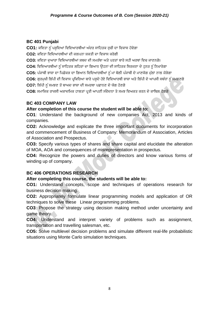#### **BC 401 Punjabi**

CO1: ਕਵਿਤਾ ਨੂੰ ਪੜਦਿਆਂ ਵਿਦਿਆਰਥੀਆਂ ਅੰਦਰ ਸਾਹਿਤਕ ਰਚੀ ਦਾ ਵਿਕਾਸ ਹੋਵੇਗਾ

**CO2:** ਕਹਵਤਾ ਹਵਹਦਆਰਥੀਆਾਂ ਦੀ ਕਲਪ੍ਨਾ ਸ਼ਕਤੀ ਦਾ ਹਵਕਾਸ ਕਰੇਗੀ

**CO3:** ਕਹਵਤਾ ਦੁਆਰਾ ਹਵਹਦਆਰਥੀਆਾਂ ਸ਼ਬਦ ਦੀ ਸਮਰੱਥਾ ਅਤੇਪ੍ਰਤਾਾਂ ਬਾਰੇਸਿੀ ਅਰਥਾਾਂ ਹਵਚ ਜਾਣਨਗੇ।

CO4: ਵਿਦਿਆਰਥੀਆਂ ਨੂੰ ਸਾਹਿਤਕ ਲਹਿਰਾਂ ਦਾ ਗਿਆਨ ਉਹਨਾਂ ਦੀ ਸਾਹਿਤਕ ਸਿਰਜਣਾ ਦੇ ਹਨਰ ਨੂੰ ਨਿਖਾਰੇਗਾ

CO5: ਪੰਜਾਬੀ ਭਾਸ਼ਾ ਦਾ ਪਿਛੋਕੜ ਦਾ ਗਿਆਨ ਵਿਦਿਆਰਥੀਆਂ ਨੂੰ ਮਾਂ ਬੋਲੀ ਪੰਜਾਬੀ ਦੇ ਮਾਣਯੋਗ ਮੱਲਾਂ ਨਾਲ ਜੋੜੇਗਾ

CO6: ਗੁਰਮੁਖੀ ਲਿੱਪੀ ਦੀ ਵਿਕਾਸ ਪ੍ਰਕਿਰਿਆ ਬਾਰੇ ਪੜਦੇ ਹੋਏ ਵਿਦਿਆਰਥੀ ਭਾਸ਼ਾ ਅਤੇ ਲਿੱਪੀ ਦੇ ਆਪਸੀ ਸਬੰਧਾਂ ਨੂੰ ਸਮਝਣਗੇ

**CO7:** ਹਲੱਪ੍ੀ ਨ ੰਸਮਝਣ ਤੋਂਬਾਅਦ ਭਾਸ਼ਾ ਦੀ ਸਮਰਥਾ ਪ੍ਛਾਨਣ ਦੇਯੋਗ ਿੋਣਗੇ

**CO8:** ਸਮਾਜਿਕ ਰਾਜਸੀ ਅਕਾਦਮਿਕ ਹਾਲਤਾਂ ਪਤੀ ਆਪਣੀ ਸੰਵੇਦਨਾ ਤੇ ਸਮਝ ਵਿਅਕਤ ਕਰਨ ਦੇ ਕਾਬਿਲ ਹੋਣਗੇ

#### **BC 403 COMPANY LAW**

#### **After completion of this course the student will be able to:**

**CO1**: Understand the background of new companies Act, 2013 and kinds of companies.

**CO2:** Acknowledge and explicate the three important documents for incorporation and commencement of Business of Company: Memorandum of Association, Articles of Association and Prospectus.

**CO3:** Specify various types of shares and share capital and elucidate the alteration of MOA, AOA and consequences of misrepresentation in prospectus.

**CO4:** Recognize the powers and duties of directors and know various forms of winding up of company.

#### **BC 406 OPERATIONS RESEARCH**

#### **After completing this course, the students will be able to:**

**CO1:** Understand concepts, scope and techniques of operations research for business decision making.

**CO2:** Appropriately formulate linear programming models and application of OR techniques to solve these Linear programming problems.

**CO3**: Propose the strategy using decision making method under uncertainty and game theory.

**CO4:** Understand and interpret variety of problems such as assignment, transportation and travelling salesman, etc.

**CO5:** Solve multilevel decision problems and simulate different real-life probabilistic situations using Monte Carlo simulation techniques.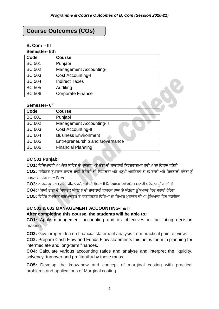# **Course Outcomes (COs)**

#### **B. Com - III**

### **Semester- 5th**

| Code          | <b>Course</b>                  |  |
|---------------|--------------------------------|--|
| <b>BC 501</b> | Punjabi                        |  |
| <b>BC 502</b> | <b>Management Accounting-I</b> |  |
| <b>BC 503</b> | <b>Cost Accounting-I</b>       |  |
| <b>BC 504</b> | <b>Indirect Taxes</b>          |  |
| <b>BC 505</b> | Auditing                       |  |
| <b>BC 506</b> | <b>Corporate Finance</b>       |  |

#### **Semester- 6 th**

| Semester-6 <sup>th</sup> |                                        |  |
|--------------------------|----------------------------------------|--|
| Code                     | <b>Course</b>                          |  |
| <b>BC 601</b>            | Punjabi                                |  |
| <b>BC 602</b>            | <b>Management Accounting-II</b>        |  |
| <b>BC 603</b>            | <b>Cost Accounting-II</b>              |  |
| <b>BC 604</b>            | <b>Business Environment</b>            |  |
| <b>BC 605</b>            | <b>Entrepreneurship and Governance</b> |  |
| <b>BC 606</b>            | <b>Financial Planning</b>              |  |

#### **BC 501 Punjabi**

CO1: ਵਿਦਿਆਰਥੀਆਂ ਅੰਦਰ ਸਾਹਿਤ ਦੇ ਪ੍ਰਯੋਜਨ ਅਤੇ ਤੱਤਾਂ ਦੀ ਜਾਣਕਾਰੀ ਸਿਰਜਣਾਤਮਕ ਰਚੀਆਂ ਦਾ ਵਿਕਾਸ ਕਰੇਗੀ

CO2: ਸਾਹਿਤਕ ਰਪਾਕਾਰ ਨਾਵਲ ਰਾਹੀਂ ਜ਼ਿੰਦਗੀ ਦੀ ਵਿਸ਼ਾਲਤਾ ਅਤੇ ਮਨੱਖੀ ਅਸਤਿਤਵ ਦੇ ਸਮਕਾਲੀ ਅਤੇ ਚਿਰਕਾਲੀ ਸੰਕਟਾਂ ਨੂੰ ਸਮਝਣ ਦੀ ਯੋਗਤਾ ਦਾ ਹਵਕਾਸ

CO3: ਨਾਵਲ ਰਪਾਕਾਰ ਰਾਹੀੰ ਜੀਵਨ ਸਰੋਕਾਰਾਂ ਦੀ ਪੇਸ਼ਕਾਰੀ ਵਿਦਿਆਰਥੀਆਂ ਅੰਦਰ ਮਾਨਵੀ ਸੰਵੇਦਨਾ ਨੂੰ ਜਗਾਏਗੀ

CO4: ਪੰਜਾਬੀ ਭਾਸ਼ਾ ਦੇ ਸਿਧਾਂਤਕ ਸੰਕਲਪਾਂ ਦੀ ਜਾਣਕਾਰੀ ਵਾਹਰਕ ਭਾਸ਼ਾ ਦੇ ਸੰਗਠਨ ਨੂੰ ਸਮਝਣ ਵਿਚ ਸਹਾਈ ਹੋਵੇਗਾ

CO5: ਵਿਭਿੰਨ ਸਮਾਜਿਕ ਸਭਿਆਚਰਕ ਤੇ ਵਾਤਾਵਰਨਕ ਵਿਸ਼ਿਆਂ ਦਾ ਗਿਆਨ ਮੁਕਾਬਲੇ ਦੀਆਂ ਪ੍ਰੀਖਿਆਵਾਂ ਵਿਚ ਸਹਾਇਕ

#### **BC 502 & 602 MANAGEMENT ACCOUNTING-I & II**

#### **After completing this course, the students will be able to***:*

**CO1:** Apply management accounting and its objectives in facilitating decision making.

**CO2:** Give proper idea on financial statement analysis from practical point of view.

**CO3:** Prepare Cash Flow and Funds Flow statements this helps them in planning for intermediate and long-term finances.

**CO4:** Calculate various accounting ratios and analyse and interpret the liquidity, solvency, turnover and profitability by these ratios.

**CO5:** Develop the know-how and concept of marginal costing with practical problems and applications of Marginal costing.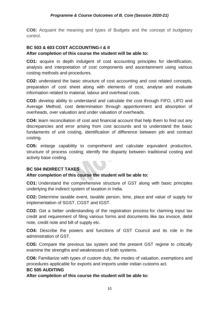**CO6:** Acquaint the meaning and types of Budgets and the concept of budgetary control.

#### **BC 503 & 603 COST ACCOUNTING-I & II**

#### **After completion of this course the student will be able to:**

**CO1:** acquire in depth indulgent of cost accounting principles for identification, analysis and interpretation of cost components and ascertainment using various costing methods and procedures.

**CO2:** understand the basic structure of cost accounting and cost related concepts, preparation of cost sheet along with elements of cost, analyse and evaluate information related to material, labour and overhead costs.

**CO3:** develop ability to understand and calculate the cost through FIFO, LIFO and Average Method, cost determination through apportionment and absorption of overheads, over valuation and under valuation of overheads.

**CO4:** learn reconciliation of cost and financial account that help them to find out any discrepancies and error arising from cost accounts and to understand the basic fundaments of unit costing, identification of difference between job and contract costing.

**CO5:** enlarge capability to comprehend and calculate equivalent production, structure of process costing; identify the disparity between traditional costing and activity base costing.

#### **BC 504 INDIRECT TAXES**

#### **After completion of this course the student will be able to:**

**CO1:** Understand the comprehensive structure of GST along with basic principles underlying the indirect system of taxation in India.

**CO2:** Determine taxable event, taxable person, time, place and value of supply for implementation of SGST, CGST and IGST.

**CO3:** Get a better understanding of the registration process for claiming input tax credit and requirement of filing various forms and documents like tax invoice, debit note, credit note and bill of supply etc.

**CO4:** Describe the powers and functions of GST Council and its role in the administration of GST.

**CO5:** Compare the previous tax system and the present GST regime to critically examine the strengths and weaknesses of both systems.

**CO6:** Familiarize with types of custom duty, the modes of valuation, exemptions and procedures applicable for exports and imports under indian customs act.

#### **BC 505 AUDITING**

**After completion of this course the student will be able to:**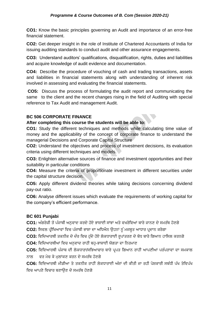**CO1:** Know the basic principles governing an Audit and importance of an error-free financial statement.

**CO2:** Get deeper insight in the role of Institute of Chartered Accountants of India for issuing auditing standards to conduct audit and other assurance engagements.

**CO3:** Understand auditors' qualifications, disqualification, rights, duties and liabilities and acquire knowledge of audit evidence and documentation.

**CO4:** Describe the procedure of vouching of cash and trading transactions, assets and liabilities in financial statements along with understanding of inherent risk involved in assessing and evaluating the financial statements.

**CO5:** Discuss the process of formulating the audit report and communicating the same to the client and the recent changes rising in the field of Auditing with special reference to Tax Audit and management Audit.

#### **BC 506 CORPORATE FINANCE**

#### **After completing this course the students will be able to:**

**CO1:** Study the different techniques and methods while calculating time value of money and the applicability of the concept of corporate finance to understand the managerial Decisions and Corporate Capital Structure

**CO2:** Understand the objectives and process of investment decisions, its evaluation criteria using different techniques and models.

**CO3:** Enlighten alternative sources of finance and investment opportunities and their suitability in particular conditions

**CO4:** Measure the criteria of proportionate investment in different securities under the capital structure decision.

**CO5:** Apply different dividend theories while taking decisions concerning dividend pay-out ratio.

**CO6:** Analyse different issues which evaluate the requirements of working capital for the company's efficient performance.

#### **BC 601 Punjabi**

CO1: ਅੰਗਰੇਜ਼ੀ ਤੋਂ ਪੰਜਾਬੀ ਅਨਵਾਦ ਕਰਦੇ ਹੋਏ ਭਾਸ਼ਾਈ ਸਾਂਝਾਂ ਅਤੇ ਵਖਰੇਵਿਆਂ ਬਾਰੇ ਜਾਨਣ ਦੇ ਸਮਰੱਥ ਹੋਣਗੇ

- CO2: ਸਿਵਲ ਪ੍ਰੀਖਿਆਵਾਂ ਵਿਚ ਪੰਜਾਬੀ ਭਾਸ਼ਾ ਦਾ ਅਧਿਐਨ ਉਹਨਾਂ ਨੂੰ ਮਜਬਤ ਆਧਾਰ ਪ੍ਰਦਾਨ ਕਰੇਗਾ
- CO3: ਵਿਦਿਆਰਥੀ ਤਕਨੀਕ ਦੇ ਦੌਰ ਵਿਚ ਹੁੰਦੇ ਹੋਏ ਲੋਕਧਾਰਾਈ ਰਪਾਂਤਰਣ ਦੇ ਬੋਧ ਬਾਰੇ ਗਿਆਨ ਹਾਸਿਲ ਕਰਨਗੇ

**CO4:** ਹਵਹਦਆਰਥੀਆਾਂ ਹਵਚ ਅਨੁਵਾਦ ਰਾਿੀਂ ਬਿੁ-ਭਾਸ਼ਾਈ ਯੋਗਤਾ ਦਾ ਹਨਰਮਾਣ

CO5: ਵਿਦਿਆਰਥੀ ਪੰਜਾਬ ਦੀ ਲੋਕਧਾਰਾ/ਸਭਿਆਚਾਰ ਬਾਰੇ ਪ੍ਰਪਤ ਗਿਆਨ ਰਾਹੀਂ ਆਪਣੀਆਂ ਪਰੰਪਰਾਵਾਂ ਦਾ ਸਮਕਾਲ

ਨਾਲ ਵਰ ਮੇਚ ਕੇ ਮਲਾਂਕਣ ਕਰਨ ਦੇ ਸਮਰੱਥ ਹੋਣਗੇ

**CO6:** ਹਵਹਦਆਰਥੀ ਮੀਡੀਆ ਤੇਤਕਨੀਕ ਰਾਿੀਂ ਲੋਕਿਾਰਾਈ ਅੰਸ਼ਾਾਂ ਦੀ ਕੀਤੀ ਜਾ ਰਿੀ ਪ੍ੇਸ਼ਕਾਰੀ ਸਬੰਿੀ ਪ੍ੱਖ ਤੇਹਵਪ੍ੱਖ ਵਿਚ ਆਪਣੇ ਵਿਚਾਰ ਬਣਾਉਣ ਦੇ ਸਮਰੱਥ ਹੋਣਗੇ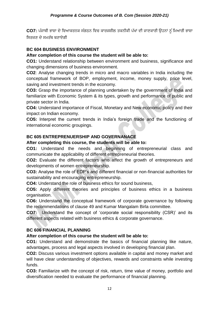CO7: ਪੰਜਾਬੀ ਭਾਸ਼ਾ ਦੇ ਵਿਆਕਰਨਕ ਸੰਗਠਨ ਵਿਚ ਕਾਰਜਸ਼ੀਲ ਤਕਨੀਕੀ ਪੱਖਾਂ ਦੀ ਜਾਣਕਾਰੀ ਉਹਨਾਂ ਨੂੰ ਮਿਆਰੀ ਭਾਸ਼ਾ ਹਸਰਜਣ ਦੇਸਮਰੱਥ ਬਣਾਏਗੀ

#### **BC 604 BUSINESS ENVIRONMENT**

#### **After completion of this course the student will be able to:**

**CO1:** Understand relationship between environment and business, significance and changing dimensions of business environment.

**CO2**: Analyse changing trends in micro and macro variables in India including the conceptual framework of BOP, employment, income, money supply, price level, saving and investment trends in the economy.

**CO3:** Grasp the importance of planning undertaken by the government of India and familiarize with Economic System & its types, growth and performance of public and private sector in India.

**CO4:** Understand importance of Fiscal, Monetary and New economic policy and their impact on Indian economy.

**CO5:** Interpret the current trends in India's foreign trade and the functioning of international economic groupings.

#### **BC 605 ENTREPRENUERSHIP AND GOVERNANACE**

#### **After completing this course, the students will be able to:**

**CO1:** Understand the needs and beginning of entrepreneurial class and communicate the applicability of different entrepreneurial theories.

**CO2:** Evaluate the different factors who affect the growth of entrepreneurs and developments of women entrepreneurship.

**CO3:** Analyse the role of EDP's and different financial or non-financial authorities for sustainability and encouraging entrepreneurship.

**CO4:** Understand the role of business ethics for sound business,

**CO5:** Apply different theories and principles of business ethics in a business organisation.

**CO6:** Understand the conceptual framework of corporate governance by following the recommendations of clause 49 and Kumar Mangalam Birla committee.

**CO7:** Understand the concept of 'corporate social responsibility (CSR)' and its different aspects related with business ethics & corporate governance.

#### **BC 606 FINANCIAL PLANNING**

#### **After completion of this course the student will be able to:**

**CO1:** Understand and demonstrate the basics of financial planning like nature, advantages, process and legal aspects involved in developing financial plan.

**CO2:** Discuss various investment options available in capital and money market and will have clear understanding of objectives, rewards and constraints while investing funds.

**CO3:** Familiarize with the concept of risk, return, time value of money, portfolio and diversification needed to evaluate the performance of financial planning.